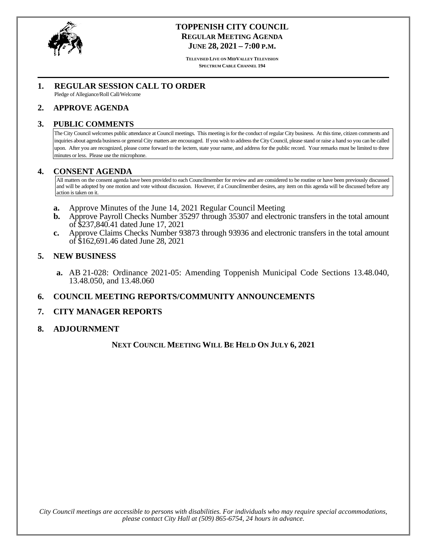<span id="page-0-0"></span>

## **TOPPENISH CITY COUNCIL REGULAR MEETING AGENDA JUNE 28, 2021 – 7:00 P.M.**

**TELEVISED LIVE ON MIDVALLEY TELEVISION SPECTRUM CABLE CHANNEL 194**

## **1. REGULAR SESSION CALL TO ORDER**

Pledge of Allegiance/Roll Call/Welcome

## **2. APPROVE AGENDA**

#### **3. PUBLIC COMMENTS**

The City Council welcomes public attendance at Council meetings. This meeting is for the conduct of regular City business. At this time, citizen comments and inquiries about agenda business or general City matters are encouraged. If you wish to address the City Council, please stand or raise a hand so you can be called upon. After you are recognized, please come forward to the lectern, state your name, and address for the public record. Your remarks must be limited to three minutes or less. Please use the microphone.

## **4. CONSENT AGENDA**

All matters on the consent agenda have been provided to each Councilmember for review and are considered to be routine or have been previously discussed and will be adopted by one motion and vote without discussion. However, if a Councilmember desires, any item on this agenda will be discussed before any action is taken on it.

- **a.** [Approve Minutes of the June 14, 2021 Regular Council Meeting](#page-1-0)
- **b.** Approve Payroll Checks Number 35297 through 35307 and electronic transfers in the total amount of \$237,840.41 dated June 17, 2021
- **c.** Approve Claims Checks Number 93873 through 93936 [and electronic transfers in the total amount](#page-5-0)  of \$162,691.46 dated June 28, 2021

## **5. NEW BUSINESS**

**a.** AB 21-028: Ordinance 2021-05: Amending Toppenish Municipal Code Sections 13.48.040, 13.48.050, and 13.48.060

## **6. COUNCIL MEETING REPORTS/COMMUNITY ANNOUNCEMENTS**

## **7. CITY MANAGER REPORTS**

#### **8. ADJOURNMENT**

## **NEXT COUNCIL MEETING WILL BE HELD ON JULY 6, 2021**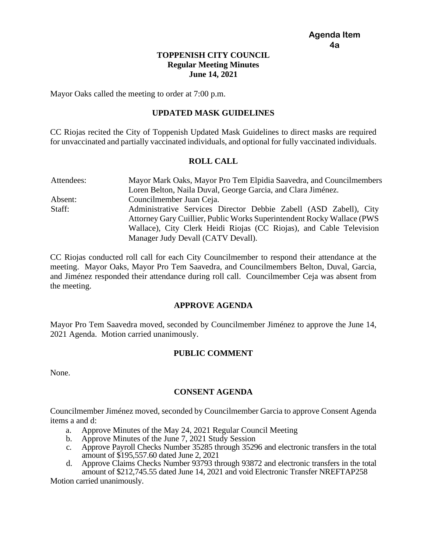## **TOPPENISH CITY COUNCIL Regular Meeting Minutes June 14, 2021**

<span id="page-1-0"></span>Mayor Oaks called the meeting to order at 7:00 p.m.

## **UPDATED MASK GUIDELINES**

CC Riojas recited the City of Toppenish Updated Mask Guidelines to direct masks are required for unvaccinated and partially vaccinated individuals, and optional for fully vaccinated individuals.

## **ROLL CALL**

Attendees: Mayor Mark Oaks, Mayor Pro Tem Elpidia Saavedra, and Councilmembers Loren Belton, Naila Duval, George Garcia, and Clara Jiménez. Absent: Councilmember Juan Ceja. Staff: Administrative Services Director Debbie Zabell (ASD Zabell), City Attorney Gary Cuillier, Public Works Superintendent Rocky Wallace (PWS Wallace), City Clerk Heidi Riojas (CC Riojas), and Cable Television Manager Judy Devall (CATV Devall).

CC Riojas conducted roll call for each City Councilmember to respond their attendance at the meeting. Mayor Oaks, Mayor Pro Tem Saavedra, and Councilmembers Belton, Duval, Garcia, and Jiménez responded their attendance during roll call. Councilmember Ceja was absent from the meeting.

## **APPROVE AGENDA**

Mayor Pro Tem Saavedra moved, seconded by Councilmember Jiménez to approve the June 14, 2021 Agenda. Motion carried unanimously.

## **PUBLIC COMMENT**

None.

## **CONSENT AGENDA**

Councilmember Jiménez moved, seconded by Councilmember Garcia to approve Consent Agenda items a and d:

- a. Approve Minutes of the May 24, 2021 Regular Council Meeting
- b. Approve Minutes of the June 7, 2021 Study Session
- c. Approve Payroll Checks Number 35285 through 35296 and electronic transfers in the total amount of \$195,557.60 dated June 2, 2021
- d. Approve Claims Checks Number 93793 through 93872 and electronic transfers in the total amount of \$212,745.55 dated June 14, 2021 and void Electronic Transfer NREFTAP258

Motion carried unanimously.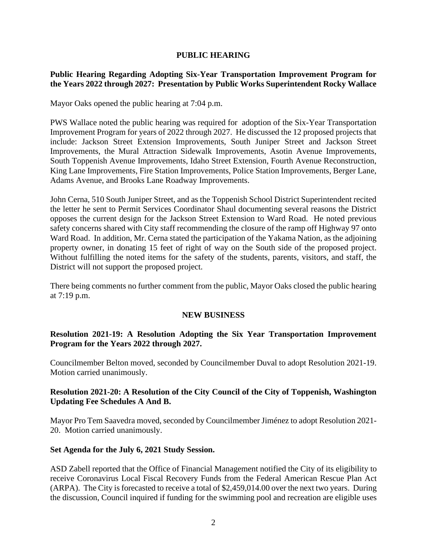## **PUBLIC HEARING**

## **Public Hearing Regarding Adopting Six-Year Transportation Improvement Program for the Years 2022 through 2027: Presentation by Public Works Superintendent Rocky Wallace**

Mayor Oaks opened the public hearing at 7:04 p.m.

PWS Wallace noted the public hearing was required for adoption of the Six-Year Transportation Improvement Program for years of 2022 through 2027. He discussed the 12 proposed projects that include: Jackson Street Extension Improvements, South Juniper Street and Jackson Street Improvements, the Mural Attraction Sidewalk Improvements, Asotin Avenue Improvements, South Toppenish Avenue Improvements, Idaho Street Extension, Fourth Avenue Reconstruction, King Lane Improvements, Fire Station Improvements, Police Station Improvements, Berger Lane, Adams Avenue, and Brooks Lane Roadway Improvements.

John Cerna, 510 South Juniper Street, and as the Toppenish School District Superintendent recited the letter he sent to Permit Services Coordinator Shaul documenting several reasons the District opposes the current design for the Jackson Street Extension to Ward Road. He noted previous safety concerns shared with City staff recommending the closure of the ramp off Highway 97 onto Ward Road. In addition, Mr. Cerna stated the participation of the Yakama Nation, as the adjoining property owner, in donating 15 feet of right of way on the South side of the proposed project. Without fulfilling the noted items for the safety of the students, parents, visitors, and staff, the District will not support the proposed project.

There being comments no further comment from the public, Mayor Oaks closed the public hearing at 7:19 p.m.

## **NEW BUSINESS**

## **Resolution 2021-19: A Resolution Adopting the Six Year Transportation Improvement Program for the Years 2022 through 2027.**

Councilmember Belton moved, seconded by Councilmember Duval to adopt Resolution 2021-19. Motion carried unanimously.

## **Resolution 2021-20: A Resolution of the City Council of the City of Toppenish, Washington Updating Fee Schedules A And B.**

Mayor Pro Tem Saavedra moved, seconded by Councilmember Jiménez to adopt Resolution 2021- 20. Motion carried unanimously.

## **Set Agenda for the July 6, 2021 Study Session.**

ASD Zabell reported that the Office of Financial Management notified the City of its eligibility to receive Coronavirus Local Fiscal Recovery Funds from the Federal American Rescue Plan Act (ARPA). The City is forecasted to receive a total of \$2,459,014.00 over the next two years. During the discussion, Council inquired if funding for the swimming pool and recreation are eligible uses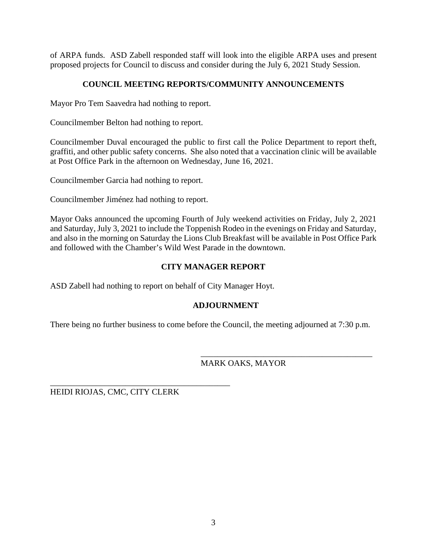of ARPA funds. ASD Zabell responded staff will look into the eligible ARPA uses and present proposed projects for Council to discuss and consider during the July 6, 2021 Study Session.

## **COUNCIL MEETING REPORTS/COMMUNITY ANNOUNCEMENTS**

Mayor Pro Tem Saavedra had nothing to report.

Councilmember Belton had nothing to report.

Councilmember Duval encouraged the public to first call the Police Department to report theft, graffiti, and other public safety concerns. She also noted that a vaccination clinic will be available at Post Office Park in the afternoon on Wednesday, June 16, 2021.

Councilmember Garcia had nothing to report.

Councilmember Jiménez had nothing to report.

Mayor Oaks announced the upcoming Fourth of July weekend activities on Friday, July 2, 2021 and Saturday, July 3, 2021 to include the Toppenish Rodeo in the evenings on Friday and Saturday, and also in the morning on Saturday the Lions Club Breakfast will be available in Post Office Park and followed with the Chamber's Wild West Parade in the downtown.

## **CITY MANAGER REPORT**

ASD Zabell had nothing to report on behalf of City Manager Hoyt.

## **ADJOURNMENT**

There being no further business to come before the Council, the meeting adjourned at 7:30 p.m.

## MARK OAKS, MAYOR

\_\_\_\_\_\_\_\_\_\_\_\_\_\_\_\_\_\_\_\_\_\_\_\_\_\_\_\_\_\_\_\_\_\_\_\_\_\_\_\_\_

HEIDI RIOJAS, CMC, CITY CLERK

\_\_\_\_\_\_\_\_\_\_\_\_\_\_\_\_\_\_\_\_\_\_\_\_\_\_\_\_\_\_\_\_\_\_\_\_\_\_\_\_\_\_\_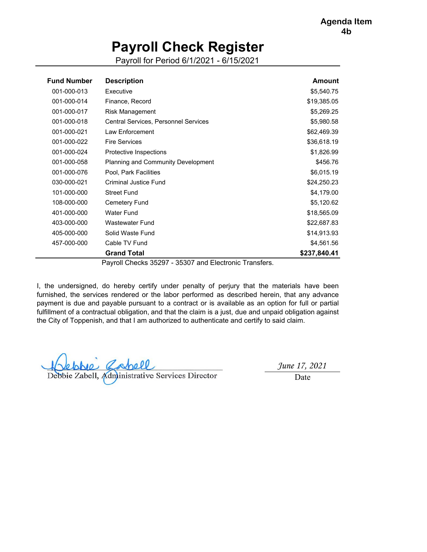## **Payroll Check Register**

Payroll for Period 6/1/2021 - 6/15/2021

<span id="page-4-0"></span>

| <b>Fund Number</b> | <b>Description</b>                          | Amount       |
|--------------------|---------------------------------------------|--------------|
| 001-000-013        | Executive                                   | \$5,540.75   |
| 001-000-014        | Finance, Record                             | \$19,385.05  |
| 001-000-017        | <b>Risk Management</b>                      | \$5,269.25   |
| 001-000-018        | <b>Central Services, Personnel Services</b> | \$5,980.58   |
| 001-000-021        | Law Enforcement                             | \$62,469.39  |
| 001-000-022        | <b>Fire Services</b>                        | \$36,618.19  |
| 001-000-024        | Protective Inspections                      | \$1,826.99   |
| 001-000-058        | <b>Planning and Community Development</b>   | \$456.76     |
| 001-000-076        | Pool, Park Facilities                       | \$6,015.19   |
| 030-000-021        | Criminal Justice Fund                       | \$24,250.23  |
| 101-000-000        | <b>Street Fund</b>                          | \$4,179.00   |
| 108-000-000        | Cemetery Fund                               | \$5,120.62   |
| 401-000-000        | Water Fund                                  | \$18,565.09  |
| 403-000-000        | Wastewater Fund                             | \$22,687.83  |
| 405-000-000        | Solid Waste Fund                            | \$14,913.93  |
| 457-000-000        | Cable TV Fund                               | \$4,561.56   |
|                    | <b>Grand Total</b>                          | \$237,840.41 |

Payroll Checks 35297 - 35307 and Electronic Transfers.

I, the undersigned, do hereby certify under penalty of perjury that the materials have been furnished, the services rendered or the labor performed as described herein, that any advance payment is due and payable pursuant to a contract or is available as an option for full or partial fulfillment of a contractual obligation, and that the claim is a just, due and unpaid obligation against the City of Toppenish, and that I am authorized to authenticate and certify to said claim.

Ceppe Capell<br>Debbie Zabell, Administrative Services Director

*June 17, 2021*

Date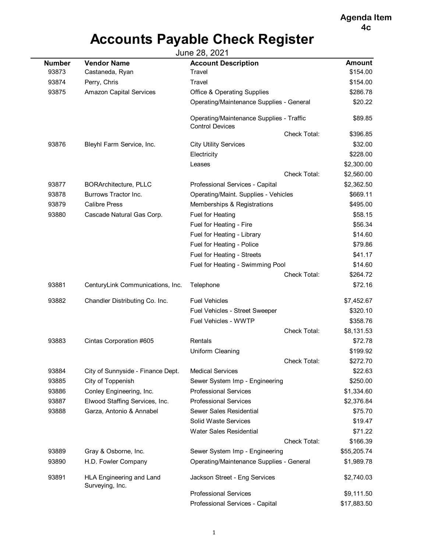**[Agenda Item](#page-0-0) 4c**

# **Accounts Payable Check Register**

<span id="page-5-0"></span>

| June 28, 2021 |                                             |                                                                    |               |  |
|---------------|---------------------------------------------|--------------------------------------------------------------------|---------------|--|
| <b>Number</b> | <b>Vendor Name</b>                          | <b>Account Description</b>                                         | <b>Amount</b> |  |
| 93873         | Castaneda, Ryan                             | Travel                                                             | \$154.00      |  |
| 93874         | Perry, Chris                                | Travel                                                             | \$154.00      |  |
| 93875         | <b>Amazon Capital Services</b>              | <b>Office &amp; Operating Supplies</b>                             | \$286.78      |  |
|               |                                             | Operating/Maintenance Supplies - General                           | \$20.22       |  |
|               |                                             | Operating/Maintenance Supplies - Traffic<br><b>Control Devices</b> | \$89.85       |  |
|               |                                             | <b>Check Total:</b>                                                | \$396.85      |  |
| 93876         | Bleyhl Farm Service, Inc.                   | <b>City Utility Services</b>                                       | \$32.00       |  |
|               |                                             | Electricity                                                        | \$228.00      |  |
|               |                                             | Leases                                                             | \$2,300.00    |  |
|               |                                             | Check Total:                                                       | \$2,560.00    |  |
| 93877         | <b>BORArchitecture, PLLC</b>                | Professional Services - Capital                                    | \$2,362.50    |  |
| 93878         | Burrows Tractor Inc.                        | Operating/Maint. Supplies - Vehicles                               | \$669.11      |  |
| 93879         | <b>Calibre Press</b>                        | Memberships & Registrations                                        | \$495.00      |  |
| 93880         | Cascade Natural Gas Corp.                   | Fuel for Heating                                                   | \$58.15       |  |
|               |                                             | Fuel for Heating - Fire                                            | \$56.34       |  |
|               |                                             | Fuel for Heating - Library                                         | \$14.60       |  |
|               |                                             | Fuel for Heating - Police                                          | \$79.86       |  |
|               |                                             | Fuel for Heating - Streets                                         | \$41.17       |  |
|               |                                             | Fuel for Heating - Swimming Pool                                   | \$14.60       |  |
|               |                                             | Check Total:                                                       | \$264.72      |  |
| 93881         | CenturyLink Communications, Inc.            | Telephone                                                          | \$72.16       |  |
| 93882         | Chandler Distributing Co. Inc.              | <b>Fuel Vehicles</b>                                               | \$7,452.67    |  |
|               |                                             | Fuel Vehicles - Street Sweeper                                     | \$320.10      |  |
|               |                                             | Fuel Vehicles - WWTP                                               | \$358.76      |  |
|               |                                             | Check Total:                                                       | \$8,131.53    |  |
| 93883         | Cintas Corporation #605                     | Rentals                                                            | \$72.78       |  |
|               |                                             | Uniform Cleaning                                                   | \$199.92      |  |
|               |                                             | <b>Check Total:</b>                                                | \$272.70      |  |
| 93884         | City of Sunnyside - Finance Dept.           | <b>Medical Services</b>                                            | \$22.63       |  |
| 93885         | City of Toppenish                           | Sewer System Imp - Engineering                                     | \$250.00      |  |
| 93886         | Conley Engineering, Inc.                    | <b>Professional Services</b>                                       | \$1,334.60    |  |
| 93887         | Elwood Staffing Services, Inc.              | <b>Professional Services</b>                                       | \$2,376.84    |  |
| 93888         | Garza, Antonio & Annabel                    | Sewer Sales Residential                                            | \$75.70       |  |
|               |                                             | Solid Waste Services                                               | \$19.47       |  |
|               |                                             | <b>Water Sales Residential</b>                                     | \$71.22       |  |
|               |                                             | Check Total:                                                       | \$166.39      |  |
| 93889         | Gray & Osborne, Inc.                        | Sewer System Imp - Engineering                                     | \$55,205.74   |  |
| 93890         | H.D. Fowler Company                         | Operating/Maintenance Supplies - General                           | \$1,989.78    |  |
| 93891         | HLA Engineering and Land<br>Surveying, Inc. | Jackson Street - Eng Services                                      | \$2,740.03    |  |
|               |                                             | <b>Professional Services</b>                                       | \$9,111.50    |  |
|               |                                             | Professional Services - Capital                                    | \$17,883.50   |  |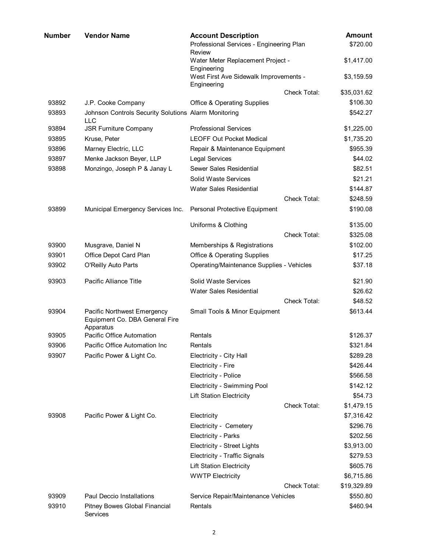| Number | <b>Vendor Name</b>                                                         | <b>Account Description</b><br>Professional Services - Engineering Plan |                     | <b>Amount</b><br>\$720.00 |
|--------|----------------------------------------------------------------------------|------------------------------------------------------------------------|---------------------|---------------------------|
|        |                                                                            | Review<br>Water Meter Replacement Project -                            |                     | \$1,417.00                |
|        |                                                                            | Engineering<br>West First Ave Sidewalk Improvements -<br>Engineering   |                     | \$3,159.59                |
|        |                                                                            |                                                                        | <b>Check Total:</b> | \$35,031.62               |
| 93892  | J.P. Cooke Company                                                         | <b>Office &amp; Operating Supplies</b>                                 |                     | \$106.30                  |
| 93893  | Johnson Controls Security Solutions Alarm Monitoring<br><b>LLC</b>         |                                                                        |                     | \$542.27                  |
| 93894  | <b>JSR Furniture Company</b>                                               | <b>Professional Services</b>                                           |                     | \$1,225.00                |
| 93895  | Kruse, Peter                                                               | <b>LEOFF Out Pocket Medical</b>                                        |                     | \$1,735.20                |
| 93896  | Marney Electric, LLC                                                       | Repair & Maintenance Equipment                                         |                     | \$955.39                  |
| 93897  | Menke Jackson Beyer, LLP                                                   | <b>Legal Services</b>                                                  |                     | \$44.02                   |
| 93898  | Monzingo, Joseph P & Janay L                                               | Sewer Sales Residential                                                |                     | \$82.51                   |
|        |                                                                            | Solid Waste Services                                                   |                     | \$21.21                   |
|        |                                                                            | <b>Water Sales Residential</b>                                         |                     | \$144.87                  |
|        |                                                                            |                                                                        | <b>Check Total:</b> | \$248.59                  |
| 93899  | Municipal Emergency Services Inc.                                          | Personal Protective Equipment                                          |                     | \$190.08                  |
|        |                                                                            | Uniforms & Clothing                                                    |                     | \$135.00                  |
|        |                                                                            |                                                                        | Check Total:        | \$325.08                  |
| 93900  | Musgrave, Daniel N                                                         | Memberships & Registrations                                            |                     | \$102.00                  |
| 93901  | Office Depot Card Plan                                                     | <b>Office &amp; Operating Supplies</b>                                 |                     | \$17.25                   |
| 93902  | O'Reilly Auto Parts                                                        | <b>Operating/Maintenance Supplies - Vehicles</b>                       |                     | \$37.18                   |
| 93903  | Pacific Alliance Title                                                     | <b>Solid Waste Services</b>                                            |                     | \$21.90                   |
|        |                                                                            | <b>Water Sales Residential</b>                                         |                     | \$26.62                   |
|        |                                                                            |                                                                        | <b>Check Total:</b> | \$48.52                   |
| 93904  | Pacific Northwest Emergency<br>Equipment Co. DBA General Fire<br>Apparatus | Small Tools & Minor Equipment                                          |                     | \$613.44                  |
| 93905  | Pacific Office Automation                                                  | Rentals                                                                |                     | \$126.37                  |
| 93906  | Pacific Office Automation Inc                                              | Rentals                                                                |                     | \$321.84                  |
| 93907  | Pacific Power & Light Co.                                                  | Electricity - City Hall                                                |                     | \$289.28                  |
|        |                                                                            | Electricity - Fire                                                     |                     | \$426.44                  |
|        |                                                                            | Electricity - Police                                                   |                     | \$566.58                  |
|        |                                                                            | Electricity - Swimming Pool                                            |                     | \$142.12                  |
|        |                                                                            | <b>Lift Station Electricity</b>                                        |                     | \$54.73                   |
|        |                                                                            |                                                                        | Check Total:        | \$1,479.15                |
| 93908  | Pacific Power & Light Co.                                                  | Electricity                                                            |                     | \$7,316.42                |
|        |                                                                            | Electricity - Cemetery                                                 |                     | \$296.76                  |
|        |                                                                            | Electricity - Parks                                                    |                     | \$202.56                  |
|        |                                                                            | <b>Electricity - Street Lights</b>                                     |                     | \$3,913.00                |
|        |                                                                            | Electricity - Traffic Signals                                          |                     | \$279.53                  |
|        |                                                                            | <b>Lift Station Electricity</b>                                        |                     | \$605.76                  |
|        |                                                                            | <b>WWTP Electricity</b>                                                |                     | \$6,715.86                |
|        |                                                                            |                                                                        | Check Total:        | \$19,329.89               |
| 93909  | <b>Paul Deccio Installations</b>                                           | Service Repair/Maintenance Vehicles                                    |                     | \$550.80                  |
| 93910  | Pitney Bowes Global Financial<br>Services                                  | Rentals                                                                |                     | \$460.94                  |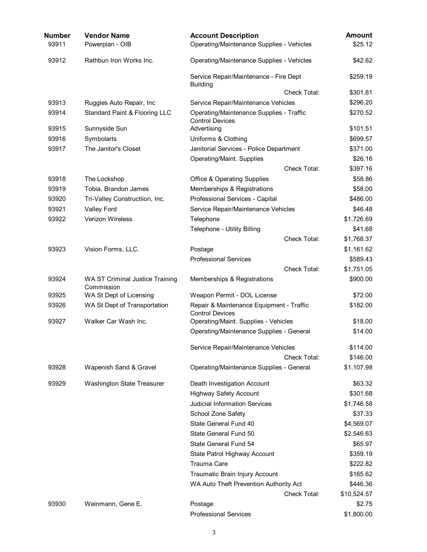| Number<br>93911 | <b>Vendor Name</b><br>Powerplan - OIB         | <b>Account Description</b><br>Operating/Maintenance Supplies - Vehicles | <b>Amount</b><br>\$25.12 |
|-----------------|-----------------------------------------------|-------------------------------------------------------------------------|--------------------------|
| 93912           | Rathbun Iron Works Inc.                       | Operating/Maintenance Supplies - Vehicles                               | \$42.62                  |
|                 |                                               | Service Repair/Maintenance - Fire Dept<br><b>Building</b>               | \$259.19                 |
|                 |                                               | Check Total:                                                            | \$301.81                 |
| 93913           | Ruggles Auto Repair, Inc                      | Service Repair/Maintenance Vehicles                                     | \$296.20                 |
| 93914           | Standard Paint & Flooring LLC                 | Operating/Maintenance Supplies - Traffic<br><b>Control Devices</b>      | \$270.52                 |
| 93915           | Sunnyside Sun                                 | Advertising                                                             | \$101.51                 |
| 93916           | Symbolarts                                    | Uniforms & Clothing                                                     | \$699.57                 |
| 93917           | The Janitor's Closet                          | Janitorial Services - Police Department                                 | \$371.00                 |
|                 |                                               | <b>Operating/Maint. Supplies</b>                                        | \$26.16                  |
|                 |                                               | Check Total:                                                            | \$397.16                 |
| 93918           | The Lockshop                                  | <b>Office &amp; Operating Supplies</b>                                  | \$58.86                  |
| 93919           | Tobia, Brandon James                          | Memberships & Registrations                                             | \$58.00                  |
| 93920           | Tri-Valley Constructiion, Inc.                | Professional Services - Capital                                         | \$486.00                 |
| 93921           | <b>Valley Ford</b>                            | Service Repair/Maintenance Vehicles                                     | \$46.48                  |
| 93922           | Verizon Wireless                              | Telephone                                                               | \$1,726.69               |
|                 |                                               | Telephone - Utility Billing                                             | \$41.68                  |
|                 |                                               | Check Total:                                                            | \$1,768.37               |
| 93923           | Vision Forms, LLC.                            | Postage                                                                 | \$1,161.62               |
|                 |                                               | <b>Professional Services</b>                                            | \$589.43                 |
|                 |                                               | Check Total:                                                            | \$1,751.05               |
| 93924           | WA ST Criminal Justice Training<br>Commission | Memberships & Registrations                                             | \$900.00                 |
| 93925           | WA St Dept of Licensing                       | Weapon Permit - DOL License                                             | \$72.00                  |
| 93926           | WA St Dept of Transportation                  | Repair & Maintenance Equipment - Traffic<br><b>Control Devices</b>      | \$182.00                 |
| 93927           | Walker Car Wash Inc.                          | Operating/Maint. Supplies - Vehicles                                    | \$18.00                  |
|                 |                                               | Operating/Maintenance Supplies - General                                | \$14.00                  |
|                 |                                               | Service Repair/Maintenance Vehicles                                     | \$114.00                 |
|                 |                                               | Check Total:                                                            | \$146.00                 |
| 93928           | Wapenish Sand & Gravel                        | Operating/Maintenance Supplies - General                                | \$1,107.98               |
| 93929           | <b>Washington State Treasurer</b>             | Death Investigation Account                                             | \$63.32                  |
|                 |                                               | <b>Highway Safety Account</b>                                           | \$301.68                 |
|                 |                                               | <b>Judicial Information Services</b>                                    | \$1,746.58               |
|                 |                                               | School Zone Safety                                                      | \$37.33                  |
|                 |                                               | State General Fund 40                                                   | \$4,569.07               |
|                 |                                               | State General Fund 50                                                   | \$2,546.63               |
|                 |                                               | State General Fund 54                                                   | \$65.97                  |
|                 |                                               | State Patrol Highway Account                                            | \$359.19                 |
|                 |                                               | Trauma Care                                                             | \$222.82                 |
|                 |                                               | Traumatic Brain Injury Account                                          | \$165.62                 |
|                 |                                               | WA Auto Theft Prevention Authority Act                                  | \$446.36                 |
|                 |                                               | Check Total:                                                            | \$10,524.57              |
| 93930           | Weinmann, Gene E.                             | Postage                                                                 | \$2.75                   |
|                 |                                               | <b>Professional Services</b>                                            | \$1,800.00               |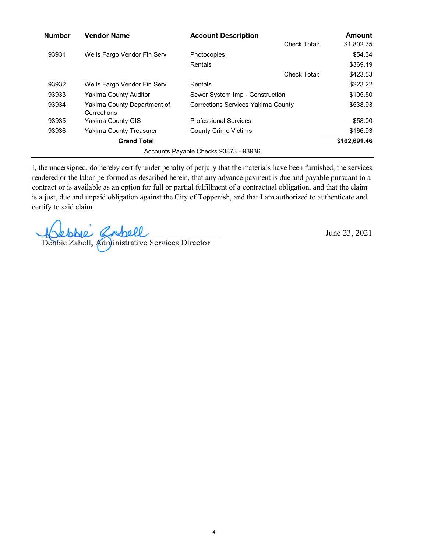| <b>Number</b> | <b>Vendor Name</b>                         | <b>Account Description</b>            | <b>Amount</b> |
|---------------|--------------------------------------------|---------------------------------------|---------------|
|               |                                            | Check Total:                          | \$1,802.75    |
| 93931         | Wells Fargo Vendor Fin Serv                | Photocopies                           | \$54.34       |
|               |                                            | Rentals                               | \$369.19      |
|               |                                            | Check Total:                          | \$423.53      |
| 93932         | Wells Fargo Vendor Fin Serv                | Rentals                               | \$223.22      |
| 93933         | Yakima County Auditor                      | Sewer System Imp - Construction       | \$105.50      |
| 93934         | Yakima County Department of<br>Corrections | Corrections Services Yakima County    | \$538.93      |
| 93935         | Yakima County GIS                          | <b>Professional Services</b>          | \$58.00       |
| 93936         | Yakima County Treasurer                    | <b>County Crime Victims</b>           | \$166.93      |
|               | <b>Grand Total</b>                         |                                       | \$162,691.46  |
|               |                                            | Accounts Payable Checks 93873 - 93936 |               |

I, the undersigned, do hereby certify under penalty of perjury that the materials have been furnished, the services rendered or the labor performed as described herein, that any advance payment is due and payable pursuant to a contract or is available as an option for full or partial fulfillment of a contractual obligation, and that the claim is a just, due and unpaid obligation against the City of Toppenish, and that I am authorized to authenticate and certify to said claim.

Debbie Zabell<br>Debbie Zabell, Administrative Services Director

June 23, 2021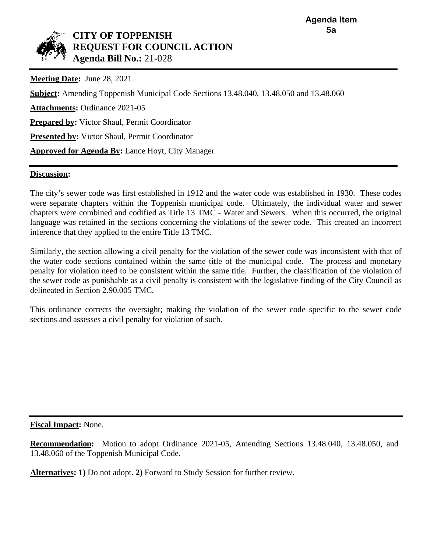

## **CITY OF TOPPENISH REQUEST FOR COUNCIL ACTION Agenda Bill No.:** 21-028

**Meeting Date:** June 28, 2021

**Subject:** Amending Toppenish Municipal Code Sections 13.48.040, 13.48.050 and 13.48.060 **Attachments:** Ordinance 2021-05 **Prepared by:** Victor Shaul, Permit Coordinator **Presented by:** Victor Shaul, Permit Coordinator **Approved for Agenda By:** Lance Hoyt, City Manager

## **Discussion:**

The city's sewer code was first established in 1912 and the water code was established in 1930. These codes were separate chapters within the Toppenish municipal code. Ultimately, the individual water and sewer chapters were combined and codified as Title 13 TMC - Water and Sewers. When this occurred, the original language was retained in the sections concerning the violations of the sewer code. This created an incorrect inference that they applied to the entire Title 13 TMC.

Similarly, the section allowing a civil penalty for the violation of the sewer code was inconsistent with that of the water code sections contained within the same title of the municipal code. The process and monetary penalty for violation need to be consistent within the same title. Further, the classification of the violation of the sewer code as punishable as a civil penalty is consistent with the legislative finding of the City Council as delineated in Section 2.90.005 TMC.

This ordinance corrects the oversight; making the violation of the sewer code specific to the sewer code sections and assesses a civil penalty for violation of such.

**Fiscal Impact:** None.

**Recommendation:** Motion to adopt Ordinance 2021-05, Amending Sections 13.48.040, 13.48.050, and 13.48.060 of the Toppenish Municipal Code.

**Alternatives: 1)** Do not adopt. **2)** Forward to Study Session for further review.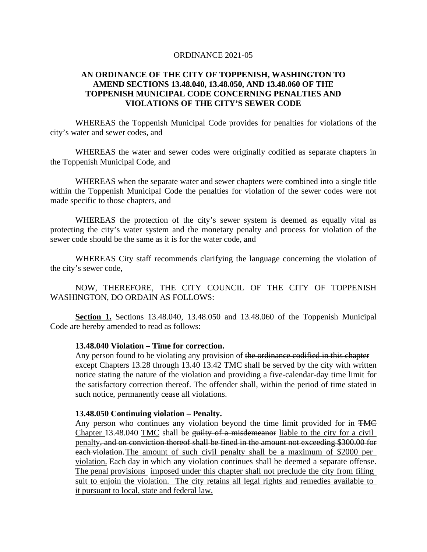#### ORDINANCE 2021-05

## **AN ORDINANCE OF THE CITY OF TOPPENISH, WASHINGTON TO AMEND SECTIONS 13.48.040, 13.48.050, AND 13.48.060 OF THE TOPPENISH MUNICIPAL CODE CONCERNING PENALTIES AND VIOLATIONS OF THE CITY'S SEWER CODE**

WHEREAS the Toppenish Municipal Code provides for penalties for violations of the city's water and sewer codes, and

WHEREAS the water and sewer codes were originally codified as separate chapters in the Toppenish Municipal Code, and

WHEREAS when the separate water and sewer chapters were combined into a single title within the Toppenish Municipal Code the penalties for violation of the sewer codes were not made specific to those chapters, and

WHEREAS the protection of the city's sewer system is deemed as equally vital as protecting the city's water system and the monetary penalty and process for violation of the sewer code should be the same as it is for the water code, and

WHEREAS City staff recommends clarifying the language concerning the violation of the city's sewer code,

NOW, THEREFORE, THE CITY COUNCIL OF THE CITY OF TOPPENISH WASHINGTON, DO ORDAIN AS FOLLOWS:

**Section 1.** Sections 13.48.040, 13.48.050 and 13.48.060 of the Toppenish Municipal Code are hereby amended to read as follows:

#### **13.48.040 Violation – Time for correction.**

Any person found to be violating any provision of the ordinance codified in this chapter except Chapters 13.28 through 13.40 13.42 TMC shall be served by the city with written notice stating the nature of the violation and providing a five-calendar-day time limit for the satisfactory correction thereof. The offender shall, within the period of time stated in such notice, permanently cease all violations.

#### **13.48.050 Continuing violation – Penalty.**

Any person who continues any violation beyond the time limit provided for in TMC Chapter [13.48.040](https://www.codepublishing.com/WA/Toppenish/#!/Toppenish13/Toppenish1348.html#13.48.040) TMC shall be guilty of a misdemeanor liable to the city for a civil penalty, and on conviction thereof shall be fined in the amount not exceeding \$300.00 for each violation.The amount of such civil penalty shall be a maximum of \$2000 per violation. Each day in which any violation continues shall be deemed a separate offense. The penal provisions imposed under this chapter shall not preclude the city from filing suit to enjoin the violation. The city retains all legal rights and remedies available to it pursuant to local, state and federal law.